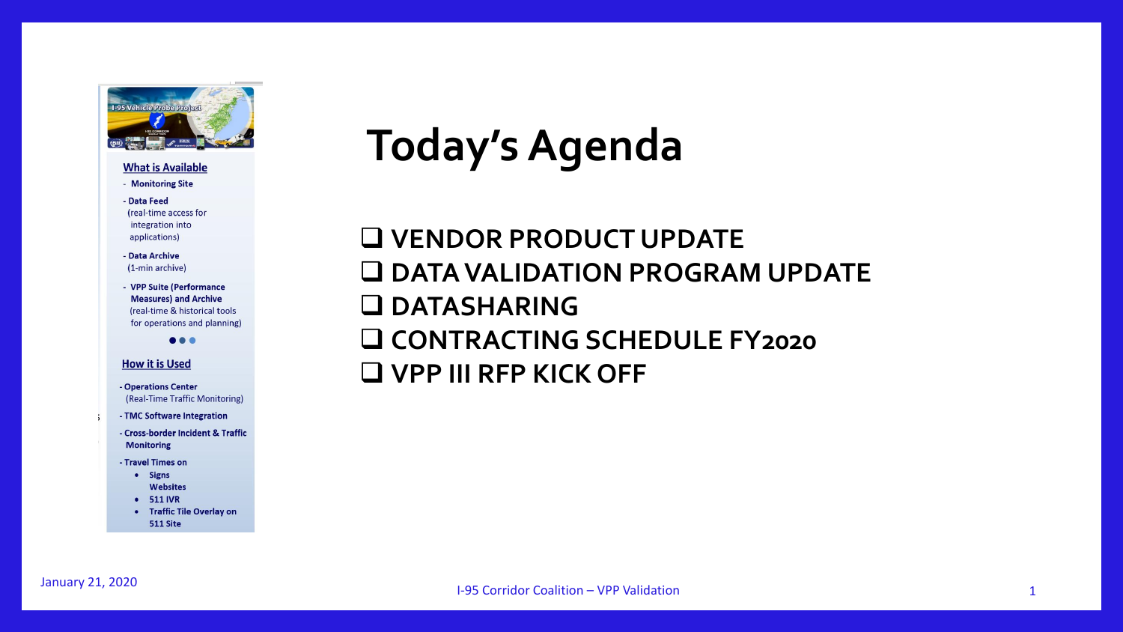

#### **What is Available**

- Monitoring Site
- Data Feed (real-time access for integration into applications)
- Data Archive (1-min archive)
- VPP Suite (Performance **Measures) and Archive** (real-time & historical tools for operations and planning)

**AAA** 

#### **How it is Used**

- Operations Center (Real-Time Traffic Monitoring)
- TMC Software Integration
	- Cross-border Incident & Traffic **Monitoring**
	- Travel Times on
		- Signs **Websites**
		- 511 IVR
		- Traffic Tile Overlay on 511 Site

## **Today's Agenda**

❑ **VENDOR PRODUCT UPDATE** ❑ **DATA VALIDATION PROGRAM UPDATE** ❑ **DATASHARING**  ❑ **CONTRACTING SCHEDULE FY2020** ❑ **VPP III RFP KICK OFF**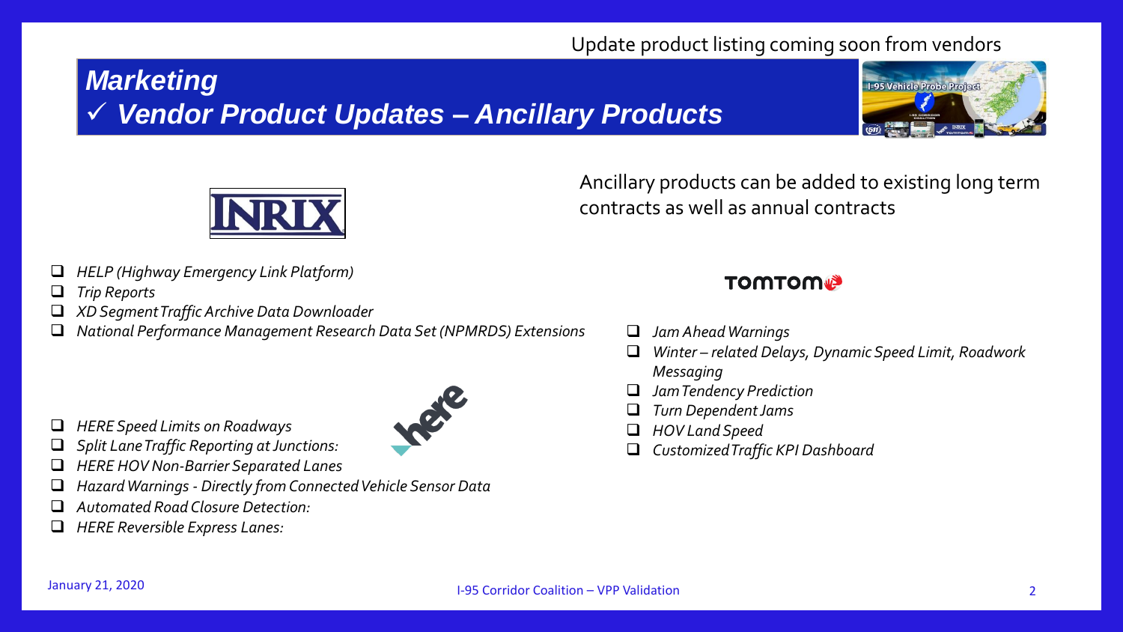#### Update product listing coming soon from vendors

## *Marketing*  ✓ *Vendor Product Updates – Ancillary Products*





Ancillary products can be added to existing long term contracts as well as annual contracts

- ❑ *HELP (Highway Emergency Link Platform)*
- ❑ *Trip Reports*
- ❑ *XD Segment Traffic Archive Data Downloader*
- ❑ *National Performance Management Research Data Set (NPMRDS) Extensions*



- ❑ *HERE Speed Limits on Roadways*
- ❑ *Split Lane Traffic Reporting at Junctions:*
- ❑ *HERE HOV Non-Barrier Separated Lanes*
- ❑ *Hazard Warnings - Directly from Connected Vehicle Sensor Data*
- ❑ *Automated Road Closure Detection:*
- ❑ *HERE Reversible Express Lanes:*

#### **TOMTOM®**

- ❑ *Jam Ahead Warnings*
- ❑ *Winter – related Delays, Dynamic Speed Limit, Roadwork Messaging*
- ❑ *Jam Tendency Prediction*
- ❑ *Turn Dependent Jams*
- ❑ *HOV Land Speed*
- ❑ *Customized Traffic KPI Dashboard*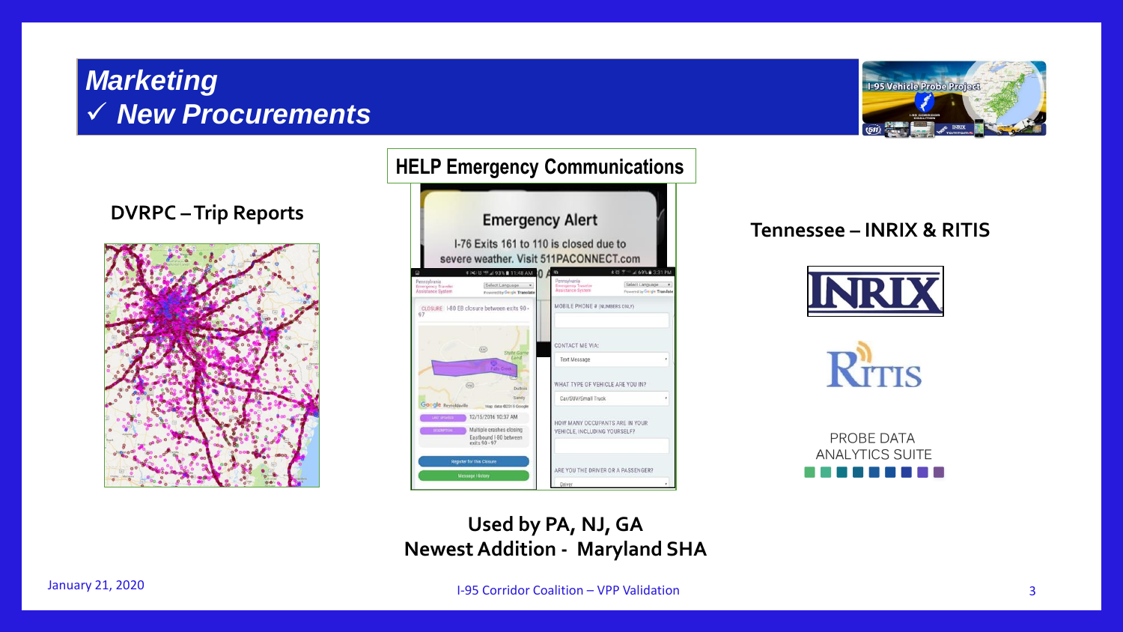#### *Marketing*  ✓ *New Procurements*



**DVRPC –Trip Reports**





#### **Tennessee – INRIX & RITIS**





PROBE DATA **ANALYTICS SUITE** 

#### **Used by PA, NJ, GA Newest Addition - Maryland SHA**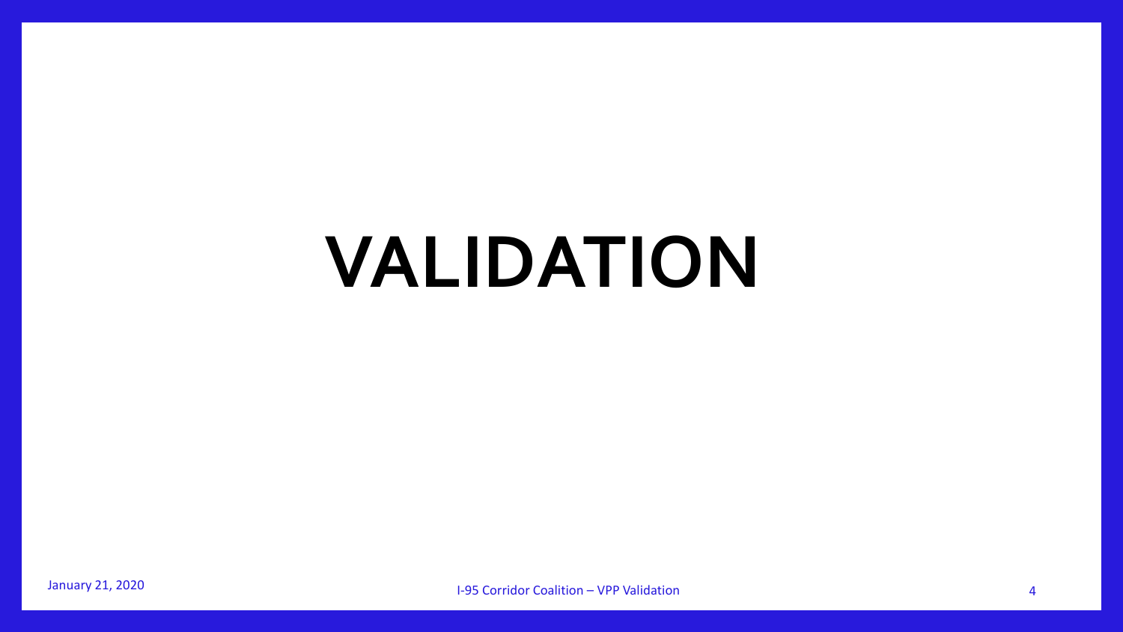## **VALIDATION**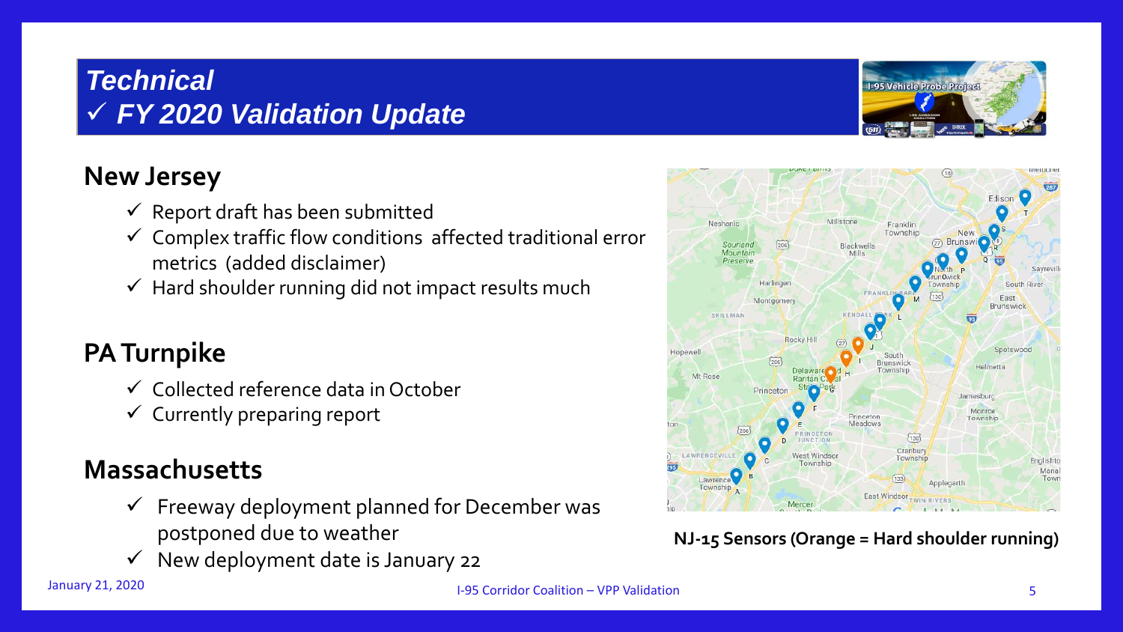## *Technical*  ✓ *FY 2020 Validation Update*



#### **New Jersey**

- $\checkmark$  Report draft has been submitted
- $\checkmark$  Complex traffic flow conditions affected traditional error metrics (added disclaimer)
- $\checkmark$  Hard shoulder running did not impact results much

## **PA Turnpike**

- ✓ Collected reference data in October
- $\checkmark$  Currently preparing report

#### **Massachusetts**

- $\checkmark$  Freeway deployment planned for December was postponed due to weather
- ✓ New deployment date is January 22



#### **NJ-15 Sensors (Orange = Hard shoulder running)**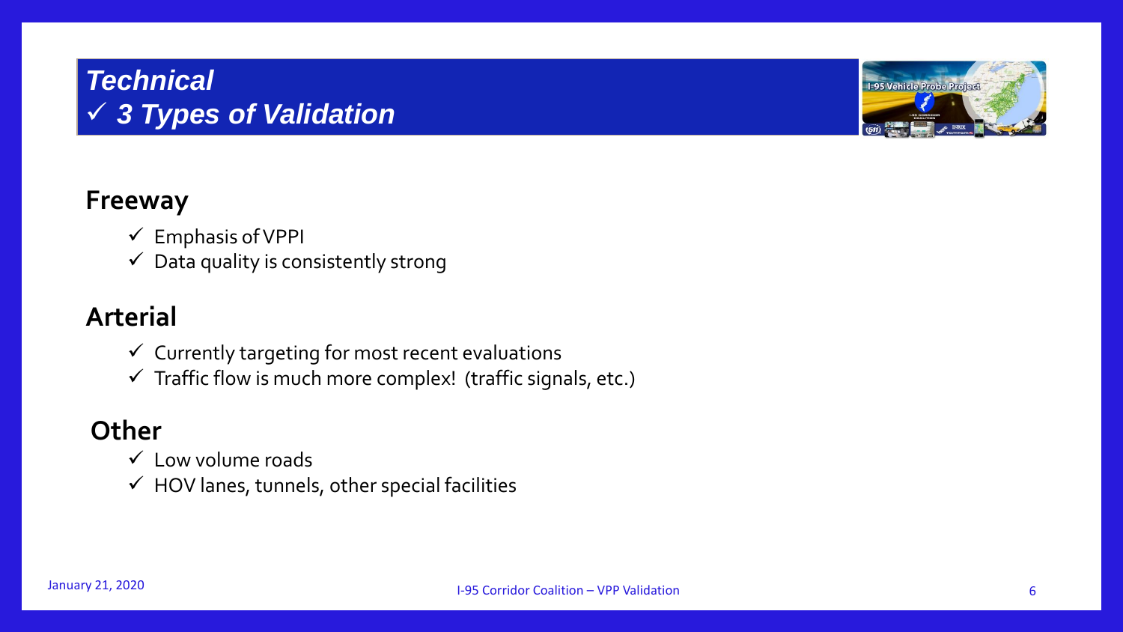### *Technical*  ✓ *3 Types of Validation*



#### **Freeway**

- ✓ Emphasis of VPPI
- $\checkmark$  Data quality is consistently strong

#### **Arterial**

- $\checkmark$  Currently targeting for most recent evaluations
- $\checkmark$  Traffic flow is much more complex! (traffic signals, etc.)

#### **Other**

- $\checkmark$  Low volume roads
- $\checkmark$  HOV lanes, tunnels, other special facilities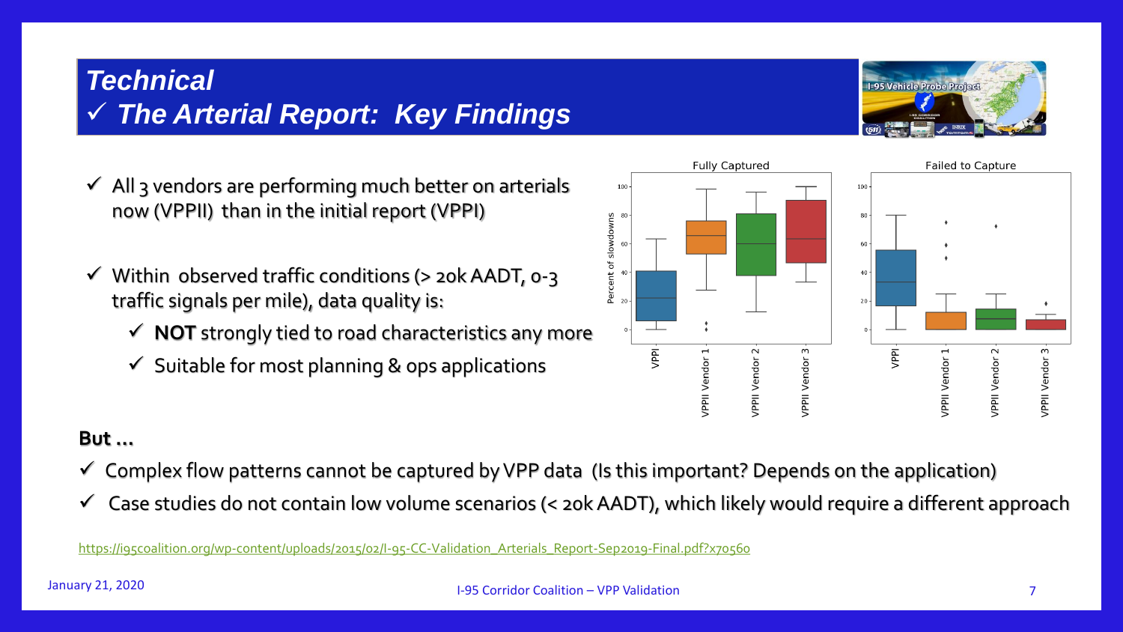#### *Technical*  ✓ *The Arterial Report: Key Findings*

- $\checkmark$  All 3 vendors are performing much better on arterials now (VPPII) than in the initial report (VPPI)
- $\checkmark$  Within observed traffic conditions (> 20k AADT, 0-3 traffic signals per mile), data quality is:
	- $\checkmark$  **NOT** strongly tied to road characteristics any more
	- $\checkmark$  Suitable for most planning & ops applications



**Fully Captured** 

#### **But …**

- $\checkmark$  Complex flow patterns cannot be captured by VPP data (Is this important? Depends on the application)
- $\checkmark$  Case studies do not contain low volume scenarios (< 20k AADT), which likely would require a different approach

[https://i95coalition.org/wp-content/uploads/2015/02/I-95-CC-Validation\\_Arterials\\_Report-Sep2019-Final.pdf?x70560](https://i95coalition.org/wp-content/uploads/2015/02/I-95_Arterial_Validation_Report_July2015-FINAL.pdf?x70560)



**Failed to Capture** 

**VPPII Vendor**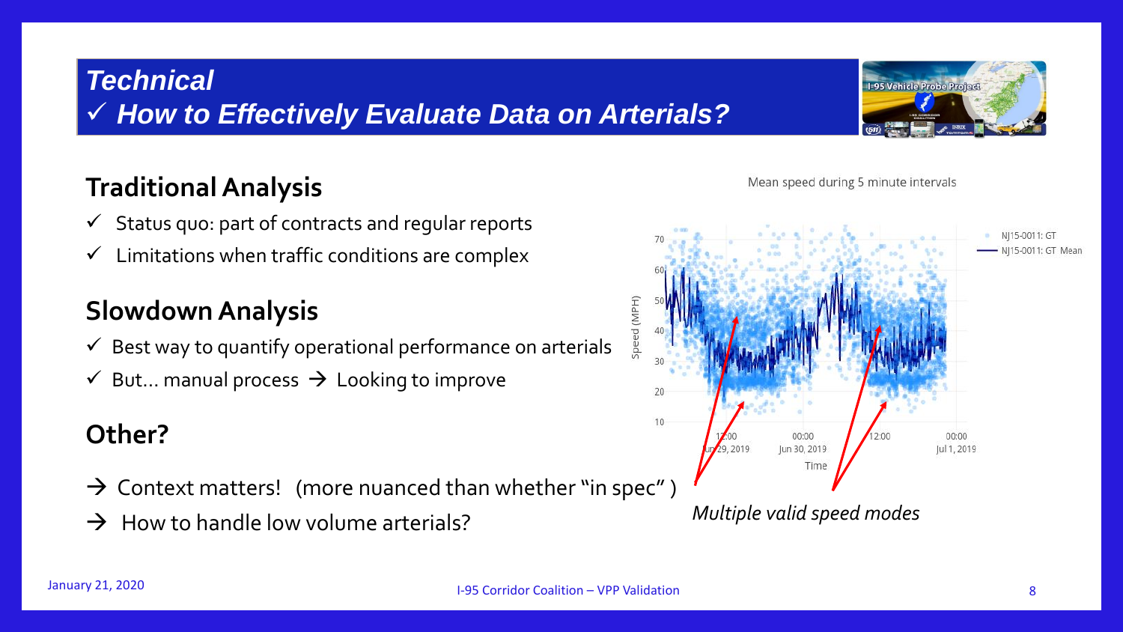#### *Technical*

✓ *How to Effectively Evaluate Data on Arterials?*

## **Traditional Analysis**

- $\checkmark$  Status quo: part of contracts and regular reports
- $\checkmark$  Limitations when traffic conditions are complex

## **Slowdown Analysis**

- $\checkmark$  Best way to quantify operational performance on arterials
- $\checkmark$  But... manual process  $\hat{\to}$  Looking to improve

## **Other?**

- $\rightarrow$  Context matters! (more nuanced than whether "in spec")
- $\rightarrow$  How to handle low volume arterials?





Mean speed during 5 minute intervals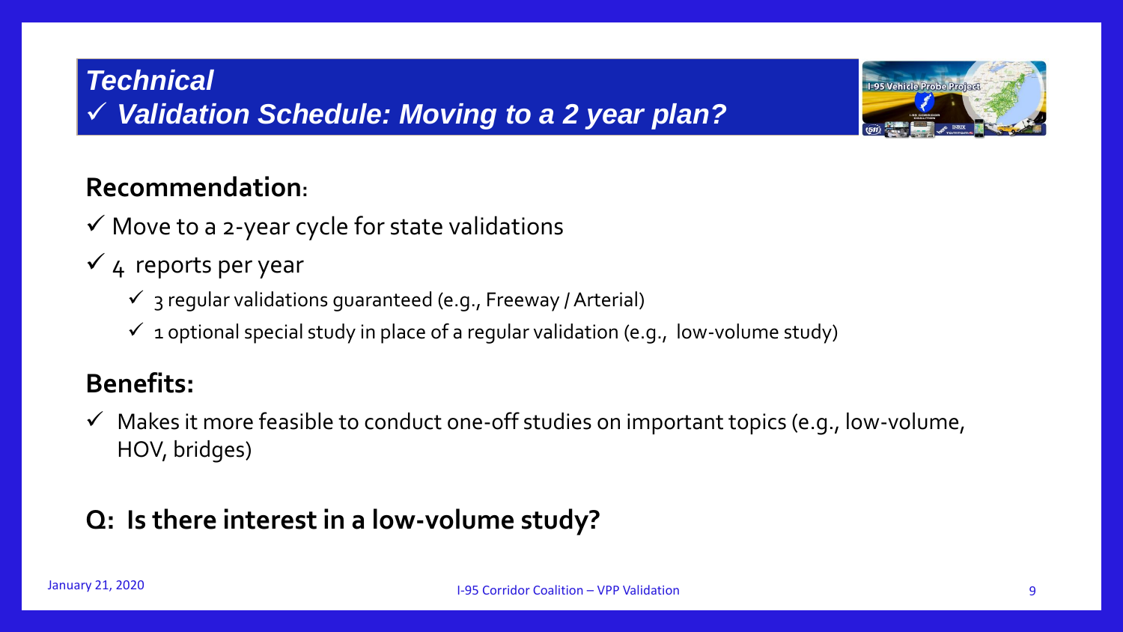## *Technical*  ✓ *Validation Schedule: Moving to a 2 year plan?*



#### **Recommendation:**

- $\checkmark$  Move to a 2-year cycle for state validations
- $\checkmark$  4 reports per year
	- $\checkmark$  3 regular validations guaranteed (e.g., Freeway / Arterial)
	- $\checkmark$  1 optional special study in place of a regular validation (e.g., low-volume study)

#### **Benefits:**

 $\checkmark$  Makes it more feasible to conduct one-off studies on important topics (e.g., low-volume, HOV, bridges)

## **Q: Is there interest in a low-volume study?**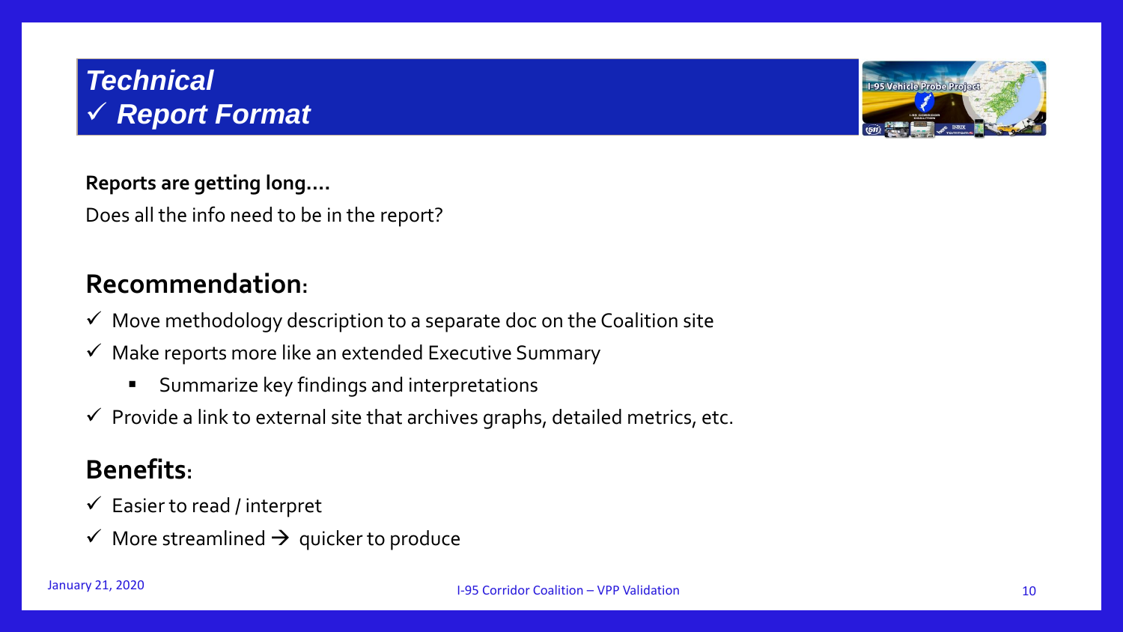#### *Technical*  ✓ *Report Format*



#### **Reports are getting long….**

Does all the info need to be in the report?

#### **Recommendation:**

- $\checkmark$  Move methodology description to a separate doc on the Coalition site
- $\checkmark$  Make reports more like an extended Executive Summary
	- Summarize key findings and interpretations
- $\checkmark$  Provide a link to external site that archives graphs, detailed metrics, etc.

#### **Benefits:**

- $\checkmark$  Easier to read / interpret
- $\checkmark$  More streamlined  $\hat{\to}$  quicker to produce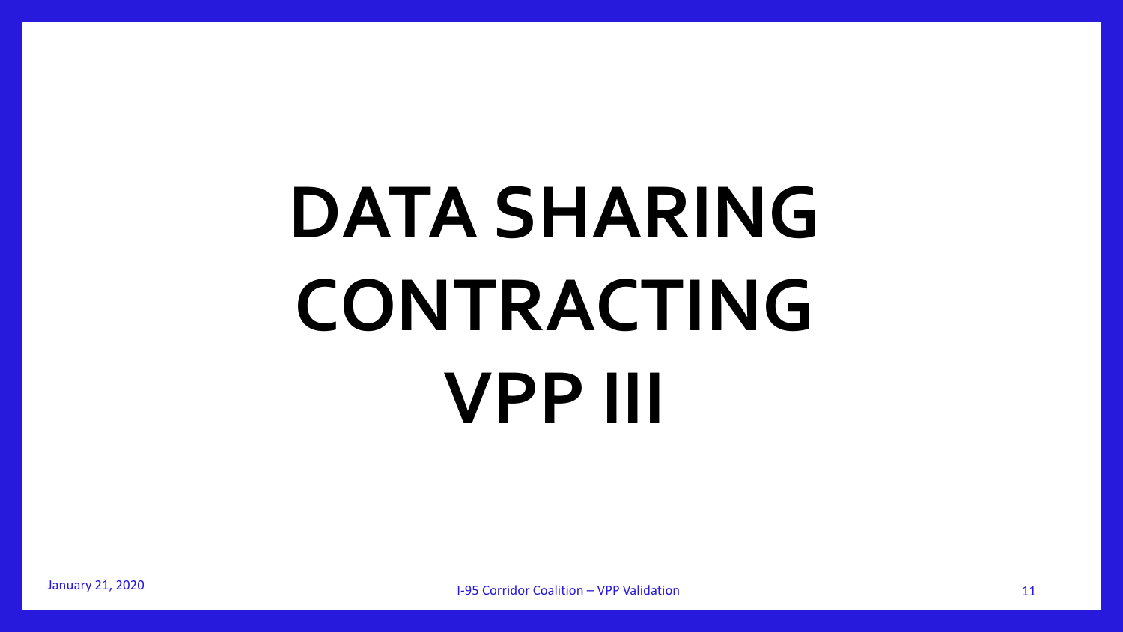# **DATA SHARING CONTRACTING VPP III**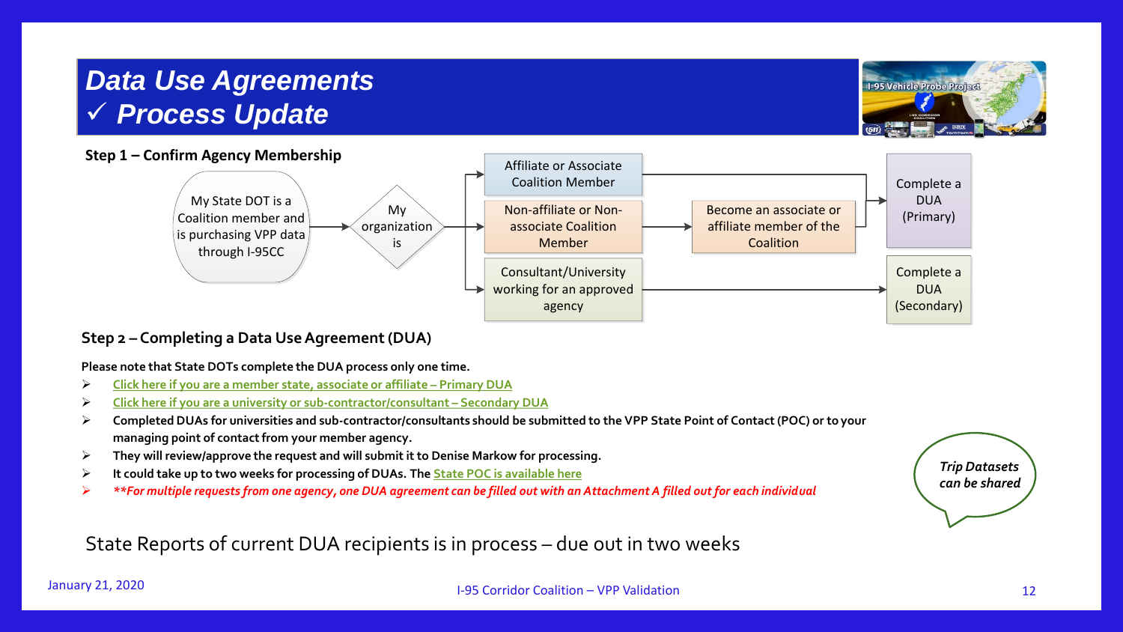#### *Data Use Agreements* ✓ *Process Update*



#### **Step 2 – Completing a Data Use Agreement (DUA)**

**Please note that State DOTs complete the DUA process only one time.**

- ➢ **[Click here if you are a member state, associate or affiliate](https://i95coalition.org/wp-content/uploads/2015/02/VPPII_DUAv9_signed_fillable-primary.pdf?x70560) – Primary DUA**
- ➢ **[Click here if you are a university or sub-contractor/consultant](https://i95coalition.org/wp-content/uploads/2015/02/VPPII_DUAv9_signed_fillable-secondary.pdf?x70560) – Secondary DUA**
- ➢ **Completed DUAs for universities and sub-contractor/consultants should be submitted to the VPP State Point of Contact (POC) or to your managing point of contact from your member agency.**
- ➢ **They will review/approve the request and will submit it to Denise Markow for processing.**
- ➢ **It could take up to two weeks for processing of DUAs. The [State POC is available here](https://i95coalition.org/wp-content/uploads/2015/02/VPP-State-Point-of-Contact_July-2019.pdf?x70560)**
- ➢ *\*\*For multiple requests from one agency, one DUA agreement can be filled out with an Attachment A filled out for each individual*

State Reports of current DUA recipients is in process – due out in two weeks



**1-95 Vehicle Probe Project**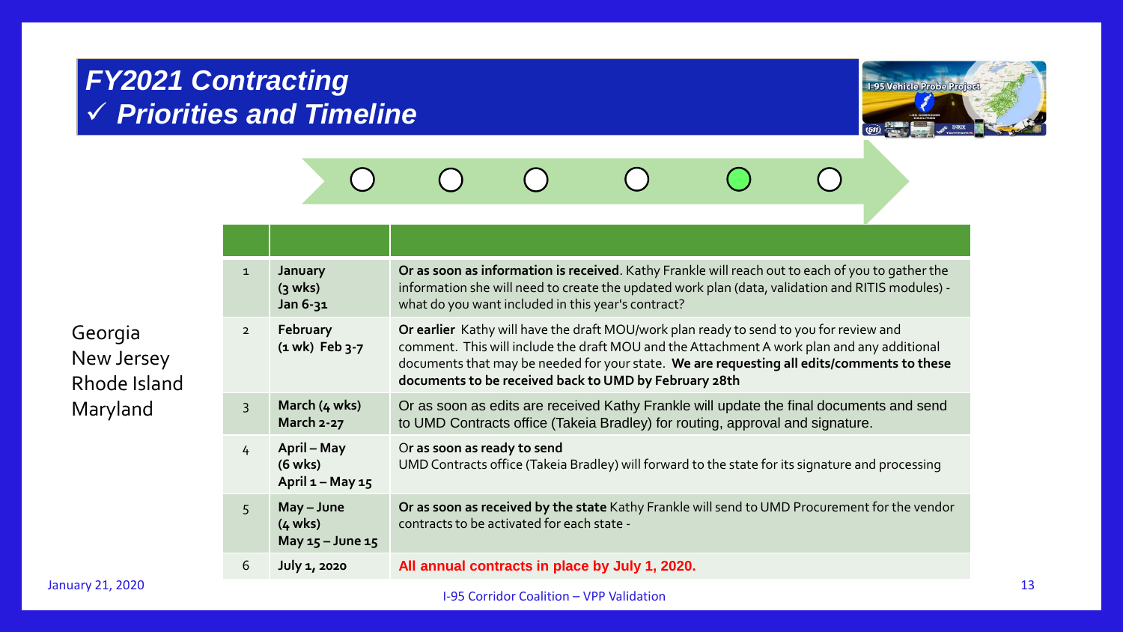## *FY2021 Contracting* ✓ *Priorities and Timeline*



#### $\bigcirc$  $\bigcirc$  $\bigcap$  $\bigcap$  $\bigcap$  $\bigcap$

| $\mathbf{1}$   | January<br>$(3$ wks)<br>Jan 6-31                        | Or as soon as information is received. Kathy Frankle will reach out to each of you to gather the<br>information she will need to create the updated work plan (data, validation and RITIS modules) -<br>what do you want included in this year's contract?                                                                                  |
|----------------|---------------------------------------------------------|---------------------------------------------------------------------------------------------------------------------------------------------------------------------------------------------------------------------------------------------------------------------------------------------------------------------------------------------|
| $2^{\circ}$    | February<br>$(1$ wk) Feb $3-7$                          | Or earlier Kathy will have the draft MOU/work plan ready to send to you for review and<br>comment. This will include the draft MOU and the Attachment A work plan and any additional<br>documents that may be needed for your state. We are requesting all edits/comments to these<br>documents to be received back to UMD by February 28th |
| $\overline{3}$ | March (4 wks)<br>March 2-27                             | Or as soon as edits are received Kathy Frankle will update the final documents and send<br>to UMD Contracts office (Takeia Bradley) for routing, approval and signature.                                                                                                                                                                    |
| $\overline{4}$ | April – May<br>$(6$ wks)<br>April $1 - May 15$          | Or as soon as ready to send<br>UMD Contracts office (Takeia Bradley) will forward to the state for its signature and processing                                                                                                                                                                                                             |
| 5              | May - June<br>$(4 \text{ wks})$<br>May $15 -$ June $15$ | Or as soon as received by the state Kathy Frankle will send to UMD Procurement for the vendor<br>contracts to be activated for each state -                                                                                                                                                                                                 |
| 6              | <b>July 1, 2020</b>                                     | All annual contracts in place by July 1, 2020.                                                                                                                                                                                                                                                                                              |

Georgia New Jersey Rhode Island Maryland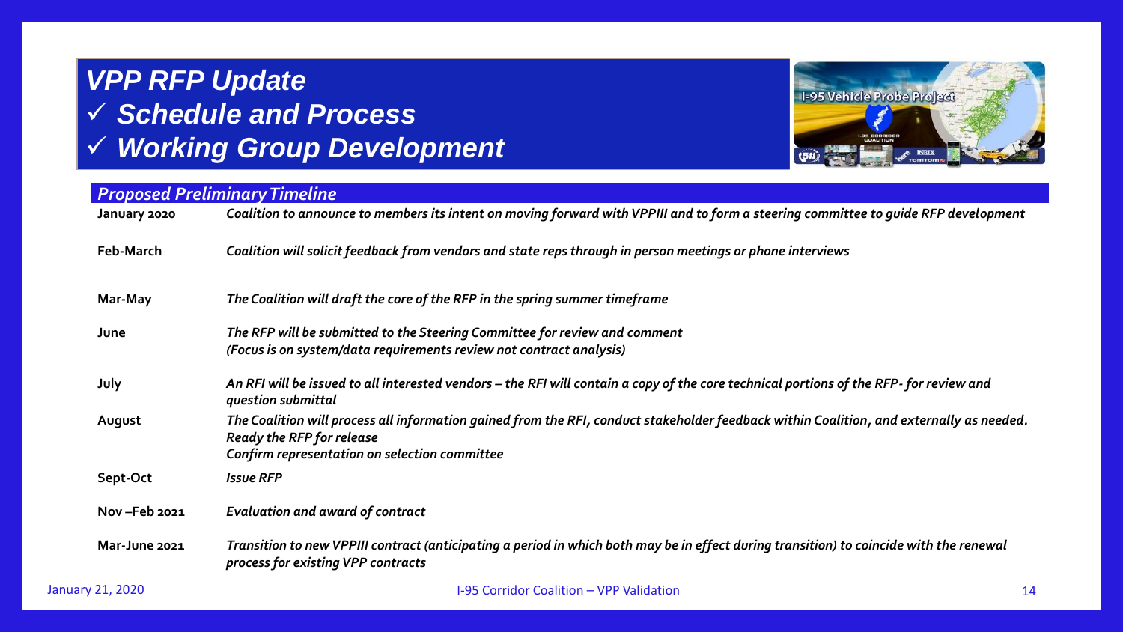

| <b>Proposed Preliminary Timeline</b> |                                                                                                                                                                                                                               |  |
|--------------------------------------|-------------------------------------------------------------------------------------------------------------------------------------------------------------------------------------------------------------------------------|--|
| January 2020                         | Coalition to announce to members its intent on moving forward with VPPIII and to form a steering committee to guide RFP development                                                                                           |  |
| Feb-March                            | Coalition will solicit feedback from vendors and state reps through in person meetings or phone interviews                                                                                                                    |  |
| Mar-May                              | The Coalition will draft the core of the RFP in the spring summer timeframe                                                                                                                                                   |  |
| June                                 | The RFP will be submitted to the Steering Committee for review and comment                                                                                                                                                    |  |
|                                      | (Focus is on system/data requirements review not contract analysis)                                                                                                                                                           |  |
| July                                 | An RFI will be issued to all interested vendors – the RFI will contain a copy of the core technical portions of the RFP- for review and<br>question submittal                                                                 |  |
| August                               | The Coalition will process all information gained from the RFI, conduct stakeholder feedback within Coalition, and externally as needed.<br><b>Ready the RFP for release</b><br>Confirm representation on selection committee |  |
| Sept-Oct                             | <b>Issue RFP</b>                                                                                                                                                                                                              |  |
| Nov-Feb 2021                         | <b>Evaluation and award of contract</b>                                                                                                                                                                                       |  |
| Mar-June 2021                        | Transition to new VPPIII contract (anticipating a period in which both may be in effect during transition) to coincide with the renewal<br>process for existing VPP contracts                                                 |  |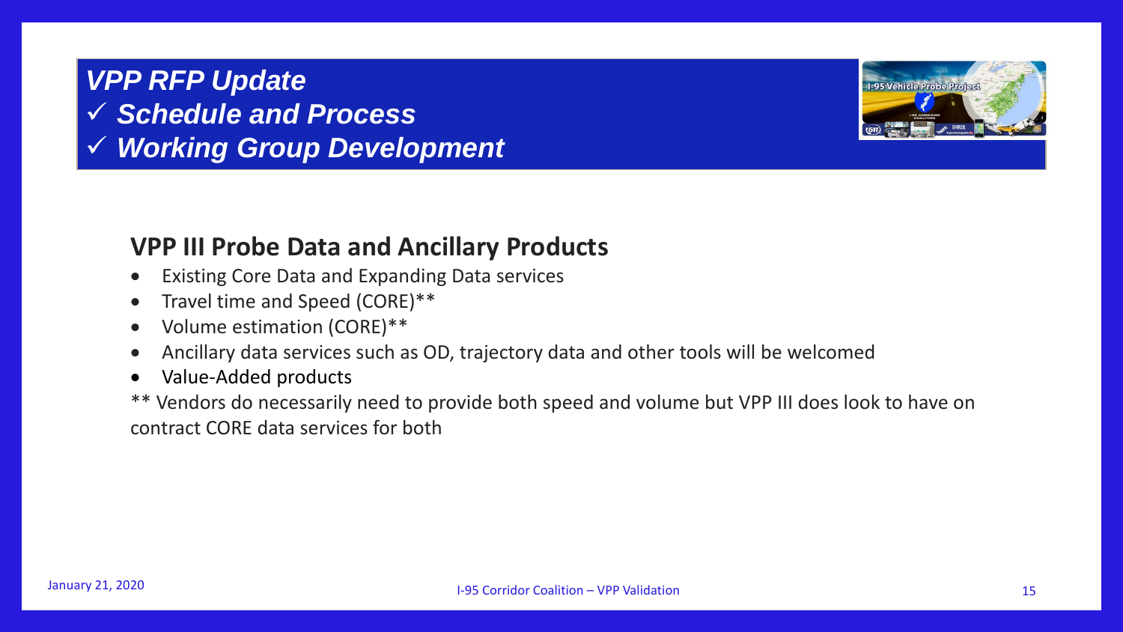

#### **VPP III Probe Data and Ancillary Products**

- Existing Core Data and Expanding Data services
- Travel time and Speed (CORE)\*\*
- Volume estimation (CORE)\*\*
- Ancillary data services such as OD, trajectory data and other tools will be welcomed
- Value-Added products

\*\* Vendors do necessarily need to provide both speed and volume but VPP III does look to have on contract CORE data services for both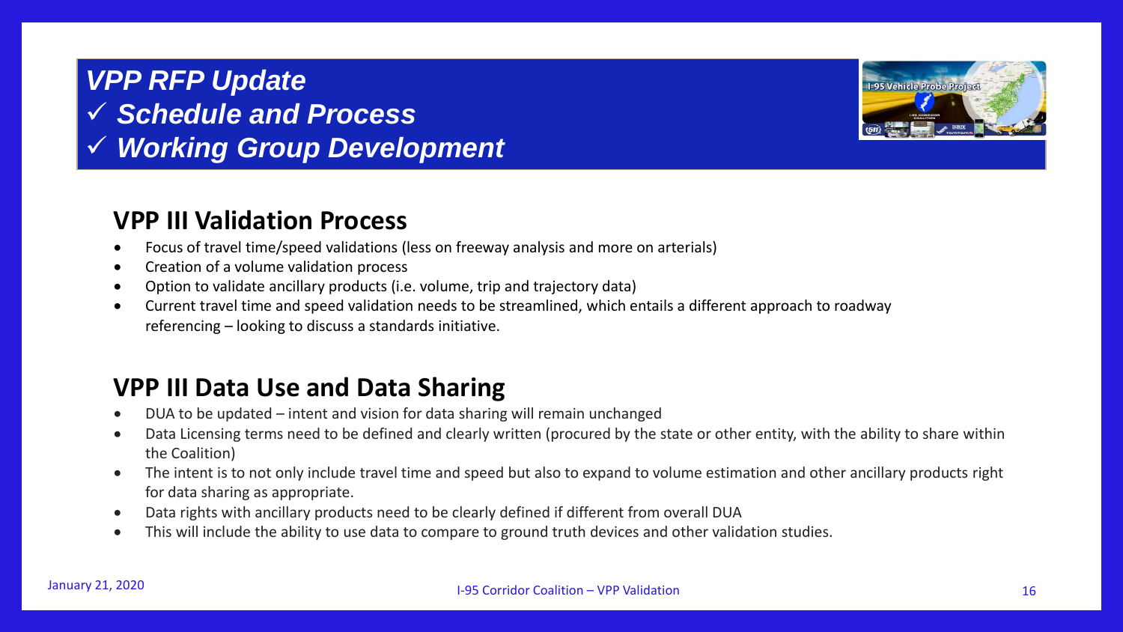#### **VPP III Validation Process**

- Focus of travel time/speed validations (less on freeway analysis and more on arterials)
- Creation of a volume validation process
- Option to validate ancillary products (i.e. volume, trip and trajectory data)
- Current travel time and speed validation needs to be streamlined, which entails a different approach to roadway referencing – looking to discuss a standards initiative.

#### **VPP III Data Use and Data Sharing**

- DUA to be updated intent and vision for data sharing will remain unchanged
- Data Licensing terms need to be defined and clearly written (procured by the state or other entity, with the ability to share within the Coalition)
- The intent is to not only include travel time and speed but also to expand to volume estimation and other ancillary products right for data sharing as appropriate.
- Data rights with ancillary products need to be clearly defined if different from overall DUA
- This will include the ability to use data to compare to ground truth devices and other validation studies.

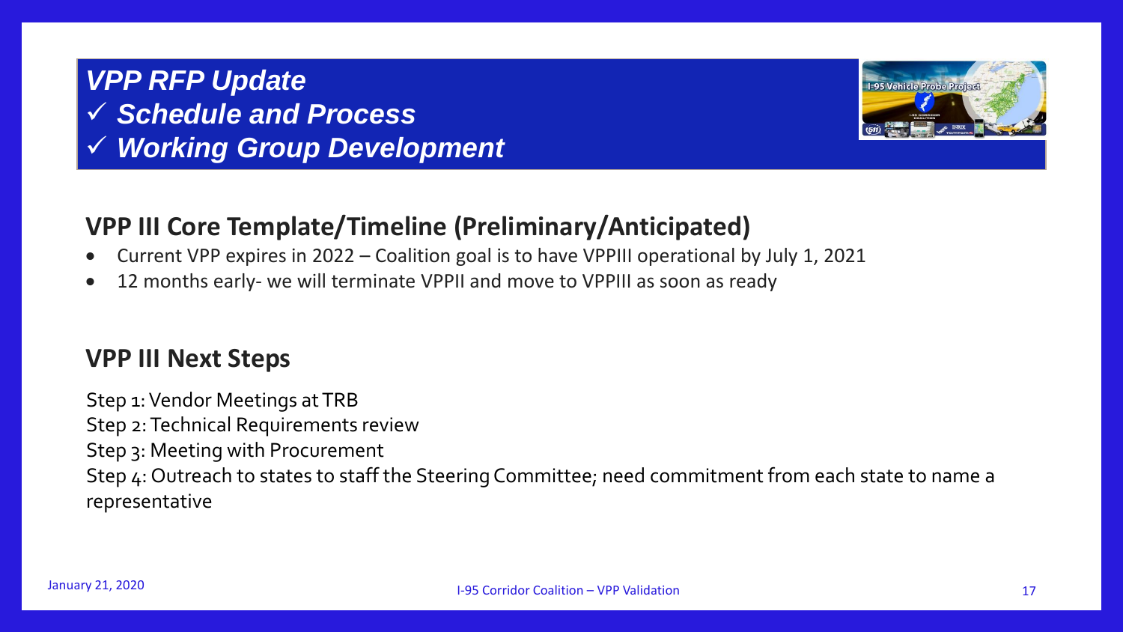

#### **VPP III Core Template/Timeline (Preliminary/Anticipated)**

- Current VPP expires in 2022 Coalition goal is to have VPPIII operational by July 1, 2021
- 12 months early- we will terminate VPPII and move to VPPIII as soon as ready

#### **VPP III Next Steps**

Step 1: Vendor Meetings at TRB Step 2: Technical Requirements review Step 3: Meeting with Procurement Step 4: Outreach to states to staff the Steering Committee; need commitment from each state to name a representative